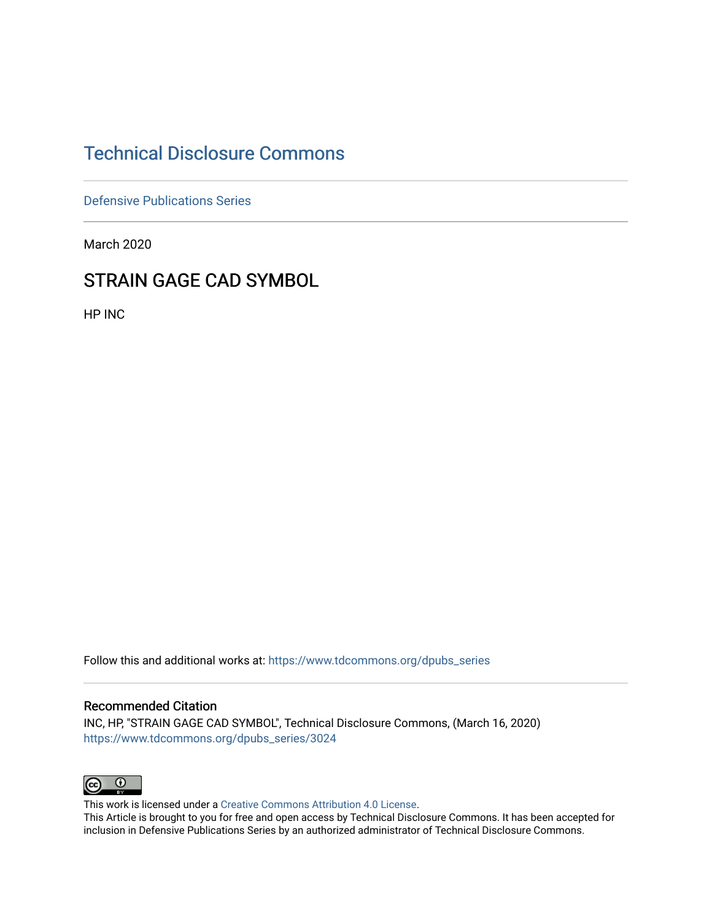# [Technical Disclosure Commons](https://www.tdcommons.org/)

[Defensive Publications Series](https://www.tdcommons.org/dpubs_series)

March 2020

## STRAIN GAGE CAD SYMBOL

HP INC

Follow this and additional works at: [https://www.tdcommons.org/dpubs\\_series](https://www.tdcommons.org/dpubs_series?utm_source=www.tdcommons.org%2Fdpubs_series%2F3024&utm_medium=PDF&utm_campaign=PDFCoverPages) 

### Recommended Citation

INC, HP, "STRAIN GAGE CAD SYMBOL", Technical Disclosure Commons, (March 16, 2020) [https://www.tdcommons.org/dpubs\\_series/3024](https://www.tdcommons.org/dpubs_series/3024?utm_source=www.tdcommons.org%2Fdpubs_series%2F3024&utm_medium=PDF&utm_campaign=PDFCoverPages)



This work is licensed under a [Creative Commons Attribution 4.0 License](http://creativecommons.org/licenses/by/4.0/deed.en_US).

This Article is brought to you for free and open access by Technical Disclosure Commons. It has been accepted for inclusion in Defensive Publications Series by an authorized administrator of Technical Disclosure Commons.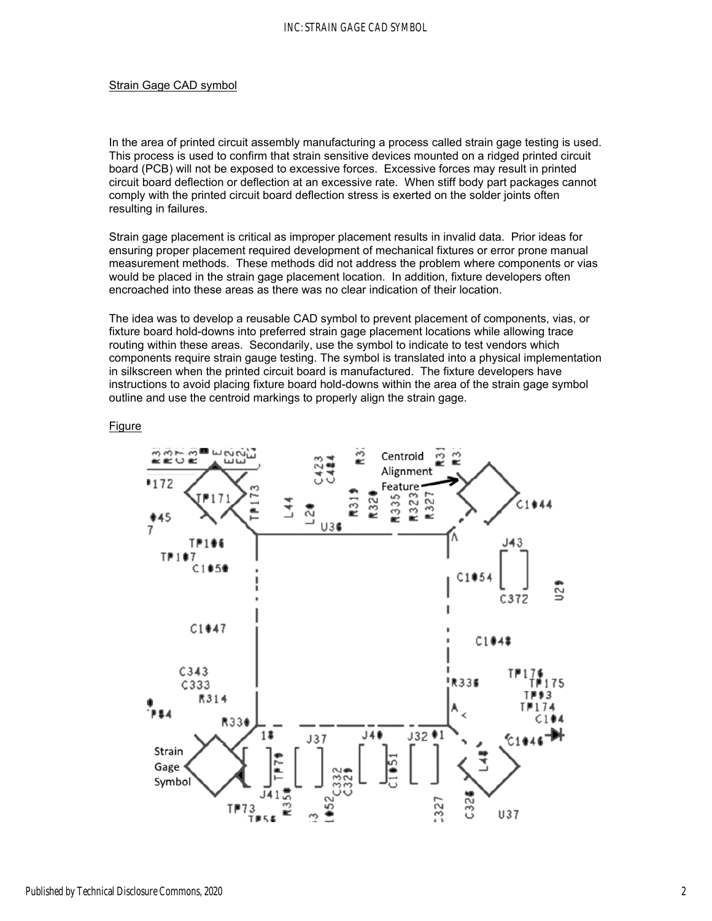### Strain Gage CAD symbol

In the area of printed circuit assembly manufacturing a process called strain gage testing is used. This process is used to confirm that strain sensitive devices mounted on a ridged printed circuit board (PCB) will not be exposed to excessive forces. Excessive forces may result in printed circuit board deflection or deflection at an excessive rate. When stiff body part packages cannot comply with the printed circuit board deflection stress is exerted on the solder joints often resulting in failures.

Strain gage placement is critical as improper placement results in invalid data. Prior ideas for ensuring proper placement required development of mechanical fixtures or error prone manual measurement methods. These methods did not address the problem where components or vias would be placed in the strain gage placement location. In addition, fixture developers often encroached into these areas as there was no clear indication of their location.

The idea was to develop a reusable CAD symbol to prevent placement of components, vias, or fixture board hold-downs into preferred strain gage placement locations while allowing trace routing within these areas. Secondarily, use the symbol to indicate to test vendors which components require strain gauge testing. The symbol is translated into a physical implementation in silkscreen when the printed circuit board is manufactured. The fixture developers have instructions to avoid placing fixture board hold-downs within the area of the strain gage symbol outline and use the centroid markings to properly align the strain gage.

#### Figure